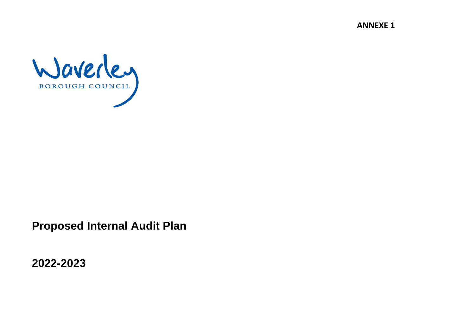**ANNEXE 1**



**Proposed Internal Audit Plan** 

**2022-2023**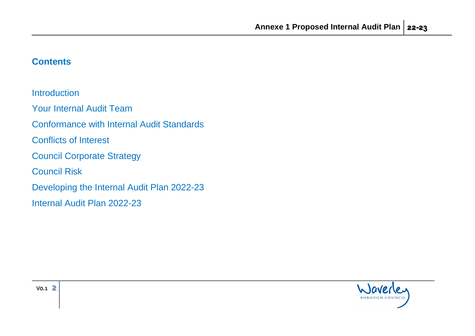# **Contents**

**Introduction** 

Your Internal Audit Team

Conformance with Internal Audit Standards

Conflicts of Interest

Council Corporate Strategy

Council Risk

Developing the Internal Audit Plan 2022-23

Internal Audit Plan 2022-23

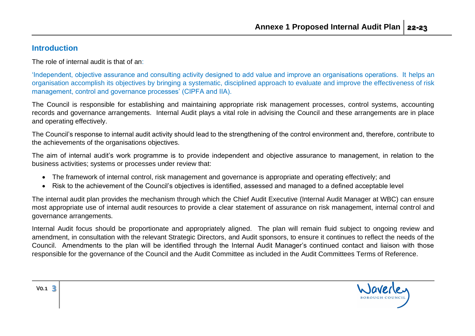#### **Introduction**

The role of internal audit is that of an:

'Independent, objective assurance and consulting activity designed to add value and improve an organisations operations. It helps an organisation accomplish its objectives by bringing a systematic, disciplined approach to evaluate and improve the effectiveness of risk management, control and governance processes' (CIPFA and IIA).

The Council is responsible for establishing and maintaining appropriate risk management processes, control systems, accounting records and governance arrangements. Internal Audit plays a vital role in advising the Council and these arrangements are in place and operating effectively.

The Council's response to internal audit activity should lead to the strengthening of the control environment and, therefore, contribute to the achievements of the organisations objectives.

The aim of internal audit's work programme is to provide independent and objective assurance to management, in relation to the business activities; systems or processes under review that:

- The framework of internal control, risk management and governance is appropriate and operating effectively; and
- Risk to the achievement of the Council's objectives is identified, assessed and managed to a defined acceptable level

The internal audit plan provides the mechanism through which the Chief Audit Executive (Internal Audit Manager at WBC) can ensure most appropriate use of internal audit resources to provide a clear statement of assurance on risk management, internal control and governance arrangements.

Internal Audit focus should be proportionate and appropriately aligned. The plan will remain fluid subject to ongoing review and amendment, in consultation with the relevant Strategic Directors, and Audit sponsors, to ensure it continues to reflect the needs of the Council. Amendments to the plan will be identified through the Internal Audit Manager's continued contact and liaison with those responsible for the governance of the Council and the Audit Committee as included in the Audit Committees Terms of Reference.

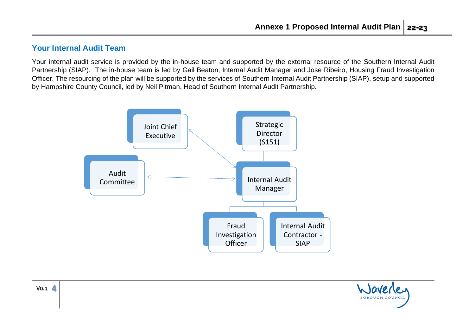## **Your Internal Audit Team**

Your internal audit service is provided by the in-house team and supported by the external resource of the Southern Internal Audit Partnership (SIAP). The in-house team is led by Gail Beaton, Internal Audit Manager and Jose Ribeiro, Housing Fraud Investigation Officer. The resourcing of the plan will be supported by the services of Southern Internal Audit Partnership (SIAP), setup and supported by Hampshire County Council, led by Neil Pitman, Head of Southern Internal Audit Partnership.



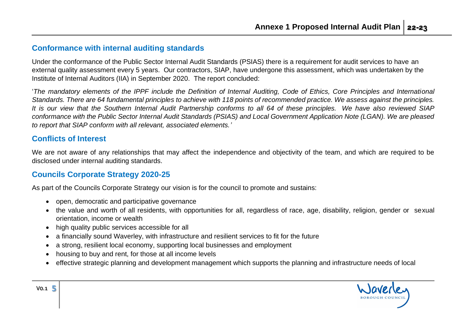#### **Conformance with internal auditing standards**

Under the conformance of the Public Sector Internal Audit Standards (PSIAS) there is a requirement for audit services to have an external quality assessment every 5 years. Our contractors, SIAP, have undergone this assessment, which was undertaken by the Institute of Internal Auditors (IIA) in September 2020. The report concluded:

'*The mandatory elements of the IPPF include the Definition of Internal Auditing, Code of Ethics, Core Principles and International Standards. There are 64 fundamental principles to achieve with 118 points of recommended practice. We assess against the principles. It is our view that the Southern Internal Audit Partnership conforms to all 64 of these principles. We have also reviewed SIAP conformance with the Public Sector Internal Audit Standards (PSIAS) and Local Government Application Note (LGAN). We are pleased to report that SIAP conform with all relevant, associated elements.'*

### **Conflicts of Interest**

V0.1 **5**

We are not aware of any relationships that may affect the independence and objectivity of the team, and which are required to be disclosed under internal auditing standards.

### **Councils Corporate Strategy 2020-25**

As part of the Councils Corporate Strategy our vision is for the council to promote and sustains:

- open, democratic and participative governance
- the value and worth of all residents, with opportunities for all, regardless of race, age, disability, religion, gender or sexual orientation, income or wealth
- high quality public services accessible for all
- a financially sound Waverley, with infrastructure and resilient services to fit for the future
- a strong, resilient local economy, supporting local businesses and employment
- housing to buy and rent, for those at all income levels
- effective strategic planning and development management which supports the planning and infrastructure needs of local

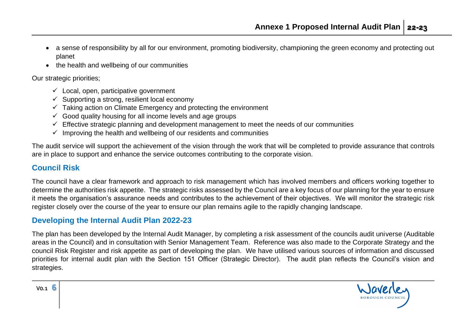- a sense of responsibility by all for our environment, promoting biodiversity, championing the green economy and protecting out planet
- the health and wellbeing of our communities

Our strategic priorities;

- $\checkmark$  Local, open, participative government
- $\checkmark$  Supporting a strong, resilient local economy
- $\checkmark$  Taking action on Climate Emergency and protecting the environment
- $\checkmark$  Good quality housing for all income levels and age groups
- $\checkmark$  Effective strategic planning and development management to meet the needs of our communities
- $\checkmark$  Improving the health and wellbeing of our residents and communities

The audit service will support the achievement of the vision through the work that will be completed to provide assurance that controls are in place to support and enhance the service outcomes contributing to the corporate vision.

# **Council Risk**

The council have a clear framework and approach to risk management which has involved members and officers working together to determine the authorities risk appetite. The strategic risks assessed by the Council are a key focus of our planning for the year to ensure it meets the organisation's assurance needs and contributes to the achievement of their objectives. We will monitor the strategic risk register closely over the course of the year to ensure our plan remains agile to the rapidly changing landscape.

# **Developing the Internal Audit Plan 2022-23**

The plan has been developed by the Internal Audit Manager, by completing a risk assessment of the councils audit universe (Auditable areas in the Council) and in consultation with Senior Management Team. Reference was also made to the Corporate Strategy and the council Risk Register and risk appetite as part of developing the plan. We have utilised various sources of information and discussed priorities for internal audit plan with the Section 151 Officer (Strategic Director). The audit plan reflects the Council's vision and strategies.

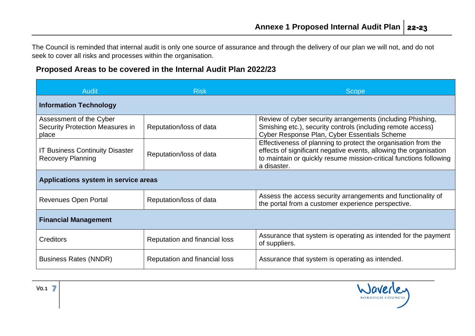The Council is reminded that internal audit is only one source of assurance and through the delivery of our plan we will not, and do not seek to cover all risks and processes within the organisation.

## **Proposed Areas to be covered in the Internal Audit Plan 2022/23**

| <b>Audit</b>                                                               | <b>Risk</b>                   | <b>Scope</b>                                                                                                                                                                                                             |  |  |
|----------------------------------------------------------------------------|-------------------------------|--------------------------------------------------------------------------------------------------------------------------------------------------------------------------------------------------------------------------|--|--|
| <b>Information Technology</b>                                              |                               |                                                                                                                                                                                                                          |  |  |
| Assessment of the Cyber<br><b>Security Protection Measures in</b><br>place | Reputation/loss of data       | Review of cyber security arrangements (including Phishing,<br>Smishing etc.), security controls (including remote access)<br>Cyber Response Plan, Cyber Essentials Scheme                                                |  |  |
| <b>IT Business Continuity Disaster</b><br><b>Recovery Planning</b>         | Reputation/loss of data       | Effectiveness of planning to protect the organisation from the<br>effects of significant negative events, allowing the organisation<br>to maintain or quickly resume mission-critical functions following<br>a disaster. |  |  |
| Applications system in service areas                                       |                               |                                                                                                                                                                                                                          |  |  |
| <b>Revenues Open Portal</b>                                                | Reputation/loss of data       | Assess the access security arrangements and functionality of<br>the portal from a customer experience perspective.                                                                                                       |  |  |
| <b>Financial Management</b>                                                |                               |                                                                                                                                                                                                                          |  |  |
| <b>Creditors</b>                                                           | Reputation and financial loss | Assurance that system is operating as intended for the payment<br>of suppliers.                                                                                                                                          |  |  |
| <b>Business Rates (NNDR)</b>                                               | Reputation and financial loss | Assurance that system is operating as intended.                                                                                                                                                                          |  |  |

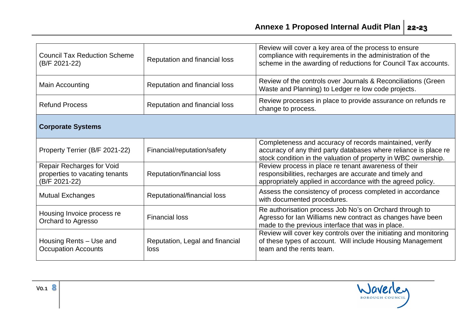| <b>Council Tax Reduction Scheme</b><br>(B/F 2021-22)                                | Reputation and financial loss           | Review will cover a key area of the process to ensure<br>compliance with requirements in the administration of the<br>scheme in the awarding of reductions for Council Tax accounts.          |  |  |
|-------------------------------------------------------------------------------------|-----------------------------------------|-----------------------------------------------------------------------------------------------------------------------------------------------------------------------------------------------|--|--|
| Main Accounting                                                                     | Reputation and financial loss           | Review of the controls over Journals & Reconciliations (Green<br>Waste and Planning) to Ledger re low code projects.                                                                          |  |  |
| <b>Refund Process</b>                                                               | Reputation and financial loss           | Review processes in place to provide assurance on refunds re<br>change to process.                                                                                                            |  |  |
| <b>Corporate Systems</b>                                                            |                                         |                                                                                                                                                                                               |  |  |
| Property Terrier (B/F 2021-22)                                                      | Financial/reputation/safety             | Completeness and accuracy of records maintained, verify<br>accuracy of any third party databases where reliance is place re<br>stock condition in the valuation of property in WBC ownership. |  |  |
| <b>Repair Recharges for Void</b><br>properties to vacating tenants<br>(B/F 2021-22) | Reputation/financial loss               | Review process in place re tenant awareness of their<br>responsibilities, recharges are accurate and timely and<br>appropriately applied in accordance with the agreed policy.                |  |  |
| <b>Mutual Exchanges</b>                                                             | Reputational/financial loss             | Assess the consistency of process completed in accordance<br>with documented procedures.                                                                                                      |  |  |
| Housing Invoice process re<br>Orchard to Agresso                                    | <b>Financial loss</b>                   | Re authorisation process Job No's on Orchard through to<br>Agresso for Ian Williams new contract as changes have been<br>made to the previous interface that was in place.                    |  |  |
| Housing Rents – Use and<br><b>Occupation Accounts</b>                               | Reputation, Legal and financial<br>loss | Review will cover key controls over the initiating and monitoring<br>of these types of account. Will include Housing Management<br>team and the rents team.                                   |  |  |

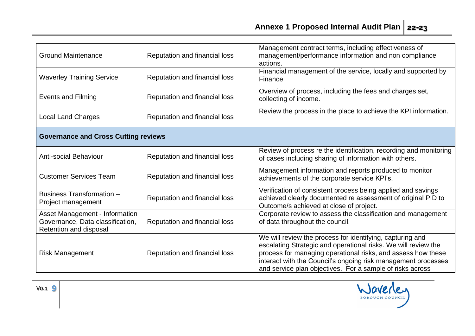| <b>Ground Maintenance</b>                                                                           | Reputation and financial loss | Management contract terms, including effectiveness of<br>management/performance information and non compliance<br>actions.                                                                                                                                                                                                |  |  |
|-----------------------------------------------------------------------------------------------------|-------------------------------|---------------------------------------------------------------------------------------------------------------------------------------------------------------------------------------------------------------------------------------------------------------------------------------------------------------------------|--|--|
| <b>Waverley Training Service</b>                                                                    | Reputation and financial loss | Financial management of the service, locally and supported by<br>Finance                                                                                                                                                                                                                                                  |  |  |
| <b>Events and Filming</b>                                                                           | Reputation and financial loss | Overview of process, including the fees and charges set,<br>collecting of income.                                                                                                                                                                                                                                         |  |  |
| <b>Local Land Charges</b>                                                                           | Reputation and financial loss | Review the process in the place to achieve the KPI information.                                                                                                                                                                                                                                                           |  |  |
| <b>Governance and Cross Cutting reviews</b>                                                         |                               |                                                                                                                                                                                                                                                                                                                           |  |  |
| <b>Anti-social Behaviour</b>                                                                        | Reputation and financial loss | Review of process re the identification, recording and monitoring<br>of cases including sharing of information with others.                                                                                                                                                                                               |  |  |
| <b>Customer Services Team</b>                                                                       | Reputation and financial loss | Management information and reports produced to monitor<br>achievements of the corporate service KPI's.                                                                                                                                                                                                                    |  |  |
| Business Transformation -<br>Project management                                                     | Reputation and financial loss | Verification of consistent process being applied and savings<br>achieved clearly documented re assessment of original PID to<br>Outcome/s achieved at close of project.                                                                                                                                                   |  |  |
| <b>Asset Management - Information</b><br>Governance, Data classification,<br>Retention and disposal | Reputation and financial loss | Corporate review to assess the classification and management<br>of data throughout the council.                                                                                                                                                                                                                           |  |  |
| <b>Risk Management</b>                                                                              | Reputation and financial loss | We will review the process for identifying, capturing and<br>escalating Strategic and operational risks. We will review the<br>process for managing operational risks, and assess how these<br>interact with the Council's ongoing risk management processes<br>and service plan objectives. For a sample of risks across |  |  |